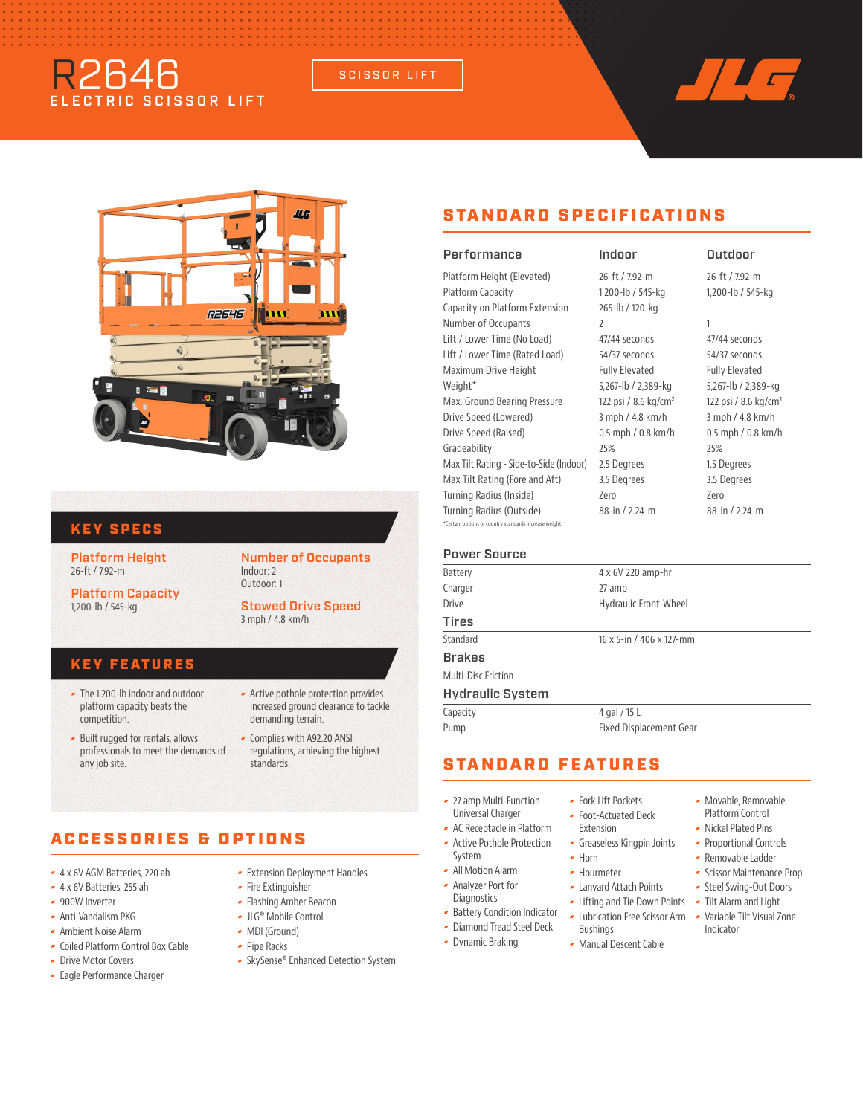# R2646 ELECTRIC SCISSOR LIFT

SCISSOR LIFT





### KEY SPECS

Platform Height 26-ft / 7.92-m

Platform Capacity 1,200-lb / 545-kg

#### Number of Occupants Indoor: 2 Outdoor: 1

Stowed Drive Speed 3 mph / 4.8 km/h

### KEY FEATURES

 The 1,200-lb indoor and outdoor platform capacity beats the competition.

 Built rugged for rentals, allows professionals to meet the demands of

- **-** Active pothole protection provides increased ground clearance to tackle demanding terrain.
- Complies with A92.20 ANSI regulations, achieving the highest standards.

# ACCESSORIES & OPTIONS

4 x 6V AGM Batteries, 220 ah

any job site.

- 4 x 6V Batteries, 255 ah
- 900W Inverter
- Anti-Vandalism PKG
- Ambient Noise Alarm
- Coiled Platform Control Box Cable
- Drive Motor Covers
- Eagle Performance Charger
- Extension Deployment Handles
- **Fire Extinguisher**
- Flashing Amber Beacon
- JLG® Mobile Control
- MDI (Ground)
- Pipe Racks
- SkySense® Enhanced Detection System

## STANDARD SPECIFICATIONS

| Performance                                                                       | Indoor                           | Outdoor                         |
|-----------------------------------------------------------------------------------|----------------------------------|---------------------------------|
| Platform Height (Elevated)                                                        | 26-ft / 7.92-m                   | 26-ft / 7.92-m                  |
| Platform Capacity                                                                 | 1,200-lb / 545-kg                | 1,200-lb / 545-kg               |
| Capacity on Platform Extension                                                    | 265-lb / 120-kg                  |                                 |
| Number of Occupants                                                               | $\overline{\phantom{a}}$         | 1                               |
| Lift / Lower Time (No Load)                                                       | 47/44 seconds                    | 47/44 seconds                   |
| Lift / Lower Time (Rated Load)                                                    | 54/37 seconds                    | 54/37 seconds                   |
| Maximum Drive Height                                                              | <b>Fully Elevated</b>            | <b>Fully Elevated</b>           |
| Weight <sup>*</sup>                                                               | 5,267-lb / 2,389-kg              | 5,267-lb / 2,389-kg             |
| Max. Ground Bearing Pressure                                                      | 122 psi / 8.6 kg/cm <sup>2</sup> | 122 psi / $8.6 \text{ kg/cm}^2$ |
| Drive Speed (Lowered)                                                             | 3 mph / 4.8 km/h                 | 3 mph / 4.8 km/h                |
| Drive Speed (Raised)                                                              | $0.5$ mph $/ 0.8$ km/h           | $0.5$ mph / $0.8$ km/h          |
| Gradeability                                                                      | 25%                              | 25%                             |
| Max Tilt Rating - Side-to-Side (Indoor)                                           | 2.5 Degrees                      | 1.5 Degrees                     |
| Max Tilt Rating (Fore and Aft)                                                    | 3.5 Degrees                      | 3.5 Degrees                     |
| Turning Radius (Inside)                                                           | 7ero                             | 7ero                            |
| Turning Radius (Outside)<br>*Certain options or country standards increase weight | 88-in / 2.24-m                   | 88-in / 2.24-m                  |

#### Power Source

| Battery                 | 4 x 6V 220 amp-hr        |
|-------------------------|--------------------------|
| Charger                 | 27 amp                   |
| <b>Drive</b>            | Hydraulic Front-Wheel    |
| Tires                   |                          |
| Standard                | 16 x 5-in / 406 x 127-mm |
| <b>Brakes</b>           |                          |
| Multi-Disc Friction     |                          |
| <b>Hydraulic System</b> |                          |
| Capacity                | 4 gal / 15 L             |
| Pump                    | Fixed Displacement Gear  |
|                         |                          |

### STANDARD FEATURES

- 27 amp Multi-Function
- Universal Charger
- AC Receptacle in Platform
- Active Pothole Protection System
- All Motion Alarm
- Analyzer Port for
- **Diagnostics -** Battery Condition Indicator
- Diamond Tread Steel Deck
	- Dynamic Braking
- **Fork Lift Pockets**
- Foot-Actuated Deck Extension
- Greaseless Kingpin Joints
- $\sim$  Horn Hourmeter
- Lanyard Attach Points
- Lifting and Tie Down Points Tilt Alarm and Light
- 
- 
- 
- Movable, Removable Platform Control
- Nickel Plated Pins
- Proportional Controls
- Removable Ladder
- **Scissor Maintenance Prop**
- Steel Swing-Out Doors
- Lubrication Free Scissor Arm Variable Tilt Visual Zone Indicator
- 
- Bushings
	- Manual Descent Cable
-